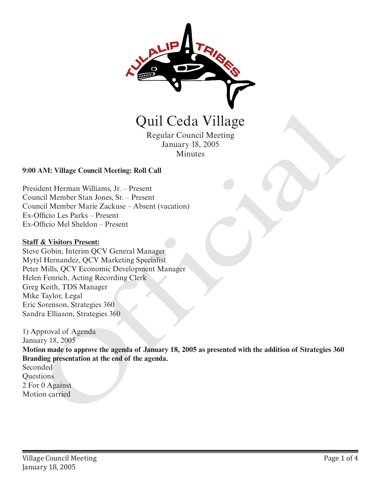

Regular Council Meeting January 18, 2005 Minutes

# **9:00 AM: Village Council Meeting: Roll Call**

President Herman Williams, Jr. – Present Council Member Stan Jones, Sr. – Present Council Member Marie Zackuse – Absent (vacation) Ex-Officio Les Parks – Present Ex-Officio Mel Sheldon – Present

#### **Staff & Visitors Present:**

Steve Gobin, Interim QCV General Manager Mytyl Hernandez, QCV Marketing Specialist Peter Mills, QCV Economic Development Manager Helen Fenrich, Acting Recording Clerk Greg Keith, TDS Manager Mike Taylor, Legal Eric Sorenson, Strategies 360 Sandra Elliason, Strategies 360

1) Approval of Agenda January 18, 2005 **Motion made to approve the agenda of January 18, 2005 as presented with the addition of Strategies 360 Branding presentation at the end of the agenda.**  Seconded **Questions** 2 For 0 Against **CHI CECTA CONTROVIDES**<br>
Regular Council Meeting<br>
Minusary 18, 2005<br>
Minusary 18, 2005<br>
Minusar<br>
President Herman Williams, Jr. – Present<br>
Council Member Stan Jones Sr. – Present<br>
Council Member Marie Zuckase – Absent (vac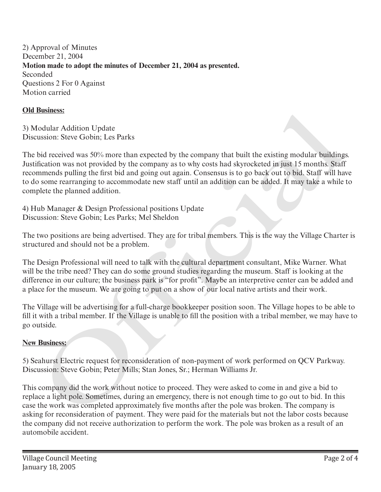2) Approval of Minutes December 21, 2004 **Motion made to adopt the minutes of December 21, 2004 as presented.**  Seconded Questions 2 For 0 Against Motion carried

### **Old Business:**

3) Modular Addition Update Discussion: Steve Gobin; Les Parks

The bid received was 50% more than expected by the company that built the existing modular buildings. Justification was not provided by the company as to why costs had skyrocketed in just 15 months. Staff recommends pulling the first bid and going out again. Consensus is to go back out to bid. Staff will have to do some rearranging to accommodate new staff until an addition can be added. It may take a while to complete the planned addition. **ristings:**<br> **Ensiness:**<br> **Column Addition Update**<br> **Column Addition Update**<br> **Column Addition Cyplate**<br> **Column Assume Solumn Assume Solumn Assume Solumn Assume Solumn Assume Column Standar<br>
<b>Column Assume Ensing Update**<br>

4) Hub Manager & Design Professional positions Update Discussion: Steve Gobin; Les Parks; Mel Sheldon

The two positions are being advertised. They are for tribal members. This is the way the Village Charter is structured and should not be a problem.

The Design Professional will need to talk with the cultural department consultant, Mike Warner. What will be the tribe need? They can do some ground studies regarding the museum. Staff is looking at the difference in our culture; the business park is "for profit". Maybe an interpretive center can be added and a place for the museum. We are going to put on a show of our local native artists and their work.

The Village will be advertising for a full-charge bookkeeper position soon. The Village hopes to be able to fill it with a tribal member. If the Village is unable to fill the position with a tribal member, we may have to go outside.

# **New Business:**

5) Seahurst Electric request for reconsideration of non-payment of work performed on QCV Parkway. Discussion: Steve Gobin; Peter Mills; Stan Jones, Sr.; Herman Williams Jr.

This company did the work without notice to proceed. They were asked to come in and give a bid to replace a light pole. Sometimes, during an emergency, there is not enough time to go out to bid. In this case the work was completed approximately five months after the pole was broken. The company is asking for reconsideration of payment. They were paid for the materials but not the labor costs because the company did not receive authorization to perform the work. The pole was broken as a result of an automobile accident.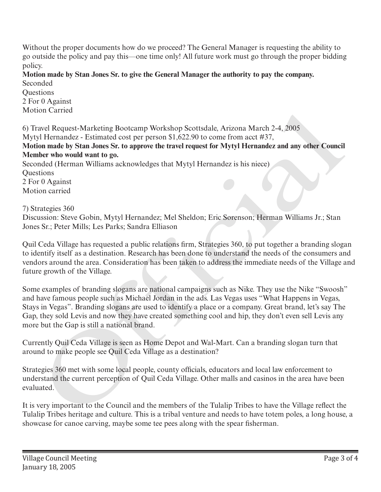Without the proper documents how do we proceed? The General Manager is requesting the ability to go outside the policy and pay this—one time only! All future work must go through the proper bidding policy.

**Motion made by Stan Jones Sr. to give the General Manager the authority to pay the company.** Seconded

**Ouestions** 2 For 0 Against Motion Carried

6) Travel Request-Marketing Bootcamp Workshop Scottsdale, Arizona March 2-4, 2005 Mytyl Hernandez - Estimated cost per person \$1,622.90 to come from acct #37,

**Motion made by Stan Jones Sr. to approve the travel request for Mytyl Hernandez and any other Council Member who would want to go.**

Seconded (Herman Williams acknowledges that Mytyl Hernandez is his niece) **Ouestions** 2 For 0 Against Motion carried

7) Strategies 360

Discussion: Steve Gobin, Mytyl Hernandez; Mel Sheldon; Eric Sorenson; Herman Williams Jr.; Stan Jones Sr.; Peter Mills; Les Parks; Sandra Elliason

Quil Ceda Village has requested a public relations firm, Strategies 360, to put together a branding slogan to identify itself as a destination. Research has been done to understand the needs of the consumers and vendors around the area. Consideration has been taken to address the immediate needs of the Village and future growth of the Village.

Some examples of branding slogans are national campaigns such as Nike. They use the Nike "Swoosh" and have famous people such as Michael Jordan in the ads. Las Vegas uses "What Happens in Vegas, Stays in Vegas". Branding slogans are used to identify a place or a company. Great brand, let's say The Gap, they sold Levis and now they have created something cool and hip, they don't even sell Levis any more but the Gap is still a national brand. on Carnea<br>
Workshop Scottsdale, Arizona March 2-4, 2005<br>
ave all Rouguest-Marketing Bootcamp Workshop Scottsdale, Arizona March 2-4, 2005<br>
all Hernandez - Estimated cost per person \$1,622.90 to come from acct #37,<br>
bler wh

Currently Quil Ceda Village is seen as Home Depot and Wal-Mart. Can a branding slogan turn that around to make people see Quil Ceda Village as a destination?

Strategies 360 met with some local people, county officials, educators and local law enforcement to understand the current perception of Quil Ceda Village. Other malls and casinos in the area have been evaluated.

It is very important to the Council and the members of the Tulalip Tribes to have the Village reflect the Tulalip Tribes heritage and culture. This is a tribal venture and needs to have totem poles, a long house, a showcase for canoe carving, maybe some tee pees along with the spear fisherman.